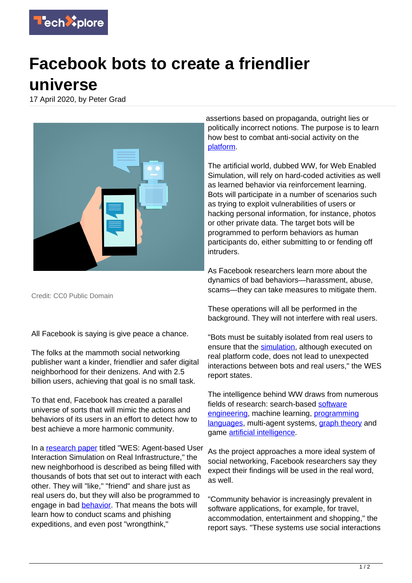

## **Facebook bots to create a friendlier universe**

17 April 2020, by Peter Grad



Credit: CC0 Public Domain

All Facebook is saying is give peace a chance.

The folks at the mammoth social networking publisher want a kinder, friendlier and safer digital neighborhood for their denizens. And with 2.5 billion users, achieving that goal is no small task.

To that end, Facebook has created a parallel universe of sorts that will mimic the actions and behaviors of its users in an effort to detect how to best achieve a more harmonic community.

In a [research paper](https://techxplore.com/tags/research+paper/) titled "WES: Agent-based User Interaction Simulation on Real Infrastructure," the new neighborhood is described as being filled with thousands of bots that set out to interact with each other. They will "like," "friend" and share just as real users do, but they will also be programmed to engage in bad [behavior](https://techxplore.com/tags/behavior/). That means the bots will learn how to conduct scams and phishing expeditions, and even post "wrongthink,"

assertions based on propaganda, outright lies or politically incorrect notions. The purpose is to learn how best to combat anti-social activity on the [platform](https://techxplore.com/tags/platform/).

The artificial world, dubbed WW, for Web Enabled Simulation, will rely on hard-coded activities as well as learned behavior via reinforcement learning. Bots will participate in a number of scenarios such as trying to exploit vulnerabilities of users or hacking personal information, for instance, photos or other private data. The target bots will be programmed to perform behaviors as human participants do, either submitting to or fending off intruders.

As Facebook researchers learn more about the dynamics of bad behaviors—harassment, abuse, scams—they can take measures to mitigate them.

These operations will all be performed in the background. They will not interfere with real users.

"Bots must be suitably isolated from real users to ensure that the [simulation](https://techxplore.com/tags/simulation/), although executed on real platform code, does not lead to unexpected interactions between bots and real users," the WES report states.

The intelligence behind WW draws from numerous fields of research: search-based [software](https://techxplore.com/tags/software+engineering/) [engineering,](https://techxplore.com/tags/software+engineering/) machine learning, [programming](https://techxplore.com/tags/programming+languages/) [languages](https://techxplore.com/tags/programming+languages/), multi-agent systems, [graph theory](https://techxplore.com/tags/graph+theory/) and game [artificial intelligence](https://techxplore.com/tags/artificial+intelligence/).

As the project approaches a more ideal system of social networking, Facebook researchers say they expect their findings will be used in the real word, as well.

"Community behavior is increasingly prevalent in software applications, for example, for travel, accommodation, entertainment and shopping," the report says. "These systems use social interactions